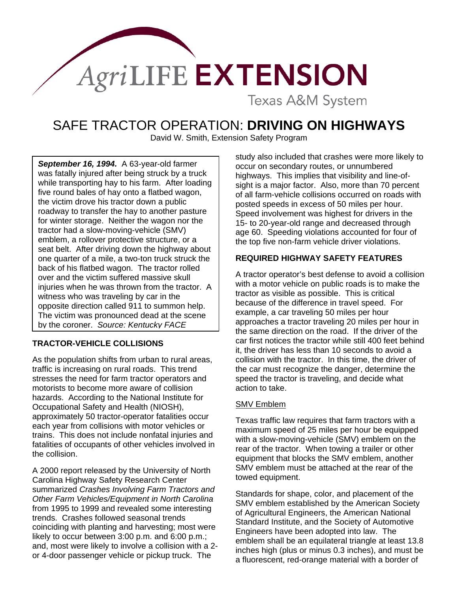

**Texas A&M System** 

# SAFE TRACTOR OPERATION: **DRIVING ON HIGHWAYS**

David W. Smith, Extension Safety Program

*September 16, 1994.* A 63-year-old farmer was fatally injured after being struck by a truck while transporting hay to his farm. After loading five round bales of hay onto a flatbed wagon, the victim drove his tractor down a public roadway to transfer the hay to another pasture for winter storage. Neither the wagon nor the tractor had a slow-moving-vehicle (SMV) emblem, a rollover protective structure, or a seat belt. After driving down the highway about one quarter of a mile, a two-ton truck struck the back of his flatbed wagon. The tractor rolled over and the victim suffered massive skull injuries when he was thrown from the tractor. A witness who was traveling by car in the opposite direction called 911 to summon help. The victim was pronounced dead at the scene by the coroner. *Source: Kentucky FACE* 

## **TRACTOR-VEHICLE COLLISIONS**

As the population shifts from urban to rural areas, traffic is increasing on rural roads. This trend stresses the need for farm tractor operators and motorists to become more aware of collision hazards. According to the National Institute for Occupational Safety and Health (NIOSH), approximately 50 tractor-operator fatalities occur each year from collisions with motor vehicles or trains. This does not include nonfatal injuries and fatalities of occupants of other vehicles involved in the collision.

A 2000 report released by the University of North Carolina Highway Safety Research Center summarized *Crashes Involving Farm Tractors and Other Farm Vehicles/Equipment in North Carolina* from 1995 to 1999 and revealed some interesting trends. Crashes followed seasonal trends coinciding with planting and harvesting; most were likely to occur between 3:00 p.m. and 6:00 p.m.; and, most were likely to involve a collision with a 2 or 4-door passenger vehicle or pickup truck. The

study also included that crashes were more likely to occur on secondary routes, or unnumbered highways. This implies that visibility and line-ofsight is a major factor. Also, more than 70 percent of all farm-vehicle collisions occurred on roads with posted speeds in excess of 50 miles per hour. Speed involvement was highest for drivers in the 15- to 20-year-old range and decreased through age 60. Speeding violations accounted for four of the top five non-farm vehicle driver violations.

# **REQUIRED HIGHWAY SAFETY FEATURES**

A tractor operator's best defense to avoid a collision with a motor vehicle on public roads is to make the tractor as visible as possible. This is critical because of the difference in travel speed. For example, a car traveling 50 miles per hour approaches a tractor traveling 20 miles per hour in the same direction on the road. If the driver of the car first notices the tractor while still 400 feet behind it, the driver has less than 10 seconds to avoid a collision with the tractor. In this time, the driver of the car must recognize the danger, determine the speed the tractor is traveling, and decide what action to take.

## SMV Emblem

Texas traffic law requires that farm tractors with a maximum speed of 25 miles per hour be equipped with a slow-moving-vehicle (SMV) emblem on the rear of the tractor. When towing a trailer or other equipment that blocks the SMV emblem, another SMV emblem must be attached at the rear of the towed equipment.

Standards for shape, color, and placement of the SMV emblem established by the American Society of Agricultural Engineers, the American National Standard Institute, and the Society of Automotive Engineers have been adopted into law. The emblem shall be an equilateral triangle at least 13.8 inches high (plus or minus 0.3 inches), and must be a fluorescent, red-orange material with a border of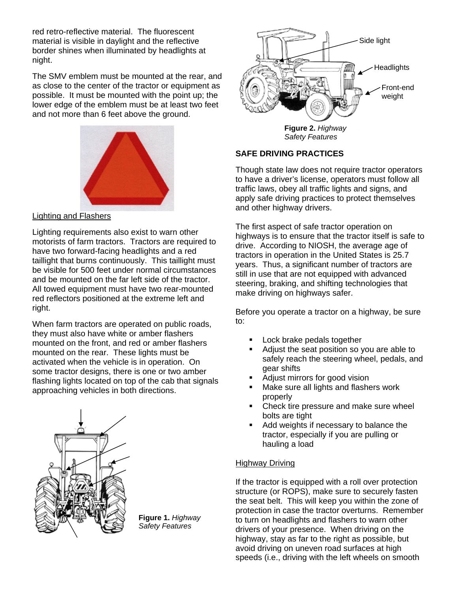red retro-reflective material. The fluorescent material is visible in daylight and the reflective border shines when illuminated by headlights at night.

The SMV emblem must be mounted at the rear, and as close to the center of the tractor or equipment as possible. It must be mounted with the point up; the lower edge of the emblem must be at least two feet and not more than 6 feet above the ground.



## Lighting and Flashers

Lighting requirements also exist to warn other motorists of farm tractors. Tractors are required to have two forward-facing headlights and a red taillight that burns continuously. This taillight must be visible for 500 feet under normal circumstances and be mounted on the far left side of the tractor. All towed equipment must have two rear-mounted red reflectors positioned at the extreme left and right.

When farm tractors are operated on public roads, they must also have white or amber flashers mounted on the front, and red or amber flashers mounted on the rear. These lights must be activated when the vehicle is in operation. On some tractor designs, there is one or two amber flashing lights located on top of the cab that signals approaching vehicles in both directions.



**Figure 1.** *Highway Safety Features* 



*Safety Features* 

## **SAFE DRIVING PRACTICES**

Though state law does not require tractor operators to have a driver's license, operators must follow all traffic laws, obey all traffic lights and signs, and apply safe driving practices to protect themselves and other highway drivers.

The first aspect of safe tractor operation on highways is to ensure that the tractor itself is safe to drive. According to NIOSH, the average age of tractors in operation in the United States is 25.7 years. Thus, a significant number of tractors are still in use that are not equipped with advanced steering, braking, and shifting technologies that make driving on highways safer.

Before you operate a tractor on a highway, be sure to:

- Lock brake pedals together
- Adjust the seat position so you are able to safely reach the steering wheel, pedals, and gear shifts
- Adjust mirrors for good vision
- Make sure all lights and flashers work properly
- Check tire pressure and make sure wheel bolts are tight
- Add weights if necessary to balance the tractor, especially if you are pulling or hauling a load

#### Highway Driving

If the tractor is equipped with a roll over protection structure (or ROPS), make sure to securely fasten the seat belt. This will keep you within the zone of protection in case the tractor overturns. Remember to turn on headlights and flashers to warn other drivers of your presence. When driving on the highway, stay as far to the right as possible, but avoid driving on uneven road surfaces at high speeds (i.e., driving with the left wheels on smooth